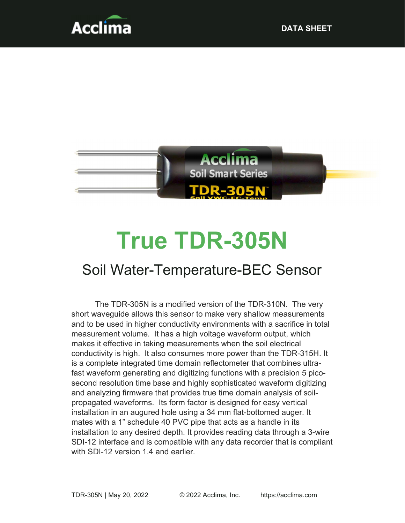



# True TDR-305N

# Soil Water-Temperature-BEC Sensor

The TDR-305N is a modified version of the TDR-310N. The very short waveguide allows this sensor to make very shallow measurements and to be used in higher conductivity environments with a sacrifice in total measurement volume. It has a high voltage waveform output, which makes it effective in taking measurements when the soil electrical conductivity is high. It also consumes more power than the TDR-315H. It is a complete integrated time domain reflectometer that combines ultrafast waveform generating and digitizing functions with a precision 5 picosecond resolution time base and highly sophisticated waveform digitizing and analyzing firmware that provides true time domain analysis of soilpropagated waveforms. Its form factor is designed for easy vertical installation in an augured hole using a 34 mm flat-bottomed auger. It mates with a 1" schedule 40 PVC pipe that acts as a handle in its installation to any desired depth. It provides reading data through a 3-wire SDI-12 interface and is compatible with any data recorder that is compliant with SDI-12 version 1.4 and earlier.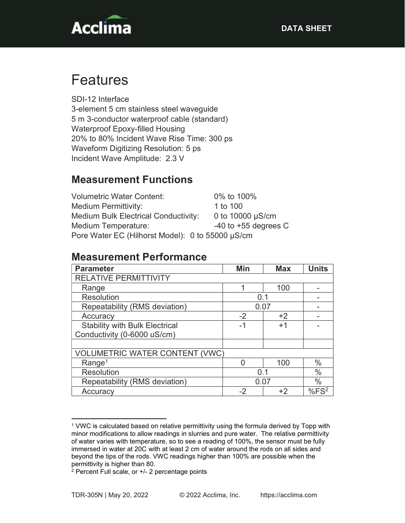

# Features

SDI-12 Interface 3-element 5 cm stainless steel waveguide 5 m 3-conductor waterproof cable (standard) Waterproof Epoxy-filled Housing 20% to 80% Incident Wave Rise Time: 300 ps Waveform Digitizing Resolution: 5 ps Incident Wave Amplitude: 2.3 V

## Measurement Functions

Volumetric Water Content: 0% to 100% Medium Permittivity: 1 to 100 Medium Bulk Electrical Conductivity: 0 to 10000 µS/cm Medium Temperature:  $-40$  to +55 degrees C Pore Water EC (Hilhorst Model): 0 to 55000 µS/cm

#### Measurement Performance

| <b>Parameter</b>                      | Min  | <b>Max</b> | <b>Units</b> |
|---------------------------------------|------|------------|--------------|
| <b>RELATIVE PERMITTIVITY</b>          |      |            |              |
| Range                                 |      | 100        |              |
| <b>Resolution</b>                     | 0.1  |            |              |
| Repeatability (RMS deviation)         | 0.07 |            |              |
| Accuracy                              | $-2$ | $+2$       |              |
| <b>Stability with Bulk Electrical</b> | -1   | $+1$       |              |
| Conductivity (0-6000 uS/cm)           |      |            |              |
|                                       |      |            |              |
| <b>VOLUMETRIC WATER CONTENT (VWC)</b> |      |            |              |
| Range <sup>1</sup>                    |      | 100        | $\%$         |
| <b>Resolution</b>                     | 0.1  |            | $\%$         |
| Repeatability (RMS deviation)         | 0.07 |            | $\%$         |
| Accuracy                              | -2   | +2         | $%FS^2$      |

<sup>1</sup> VWC is calculated based on relative permittivity using the formula derived by Topp with minor modifications to allow readings in slurries and pure water. The relative permittivity of water varies with temperature, so to see a reading of 100%, the sensor must be fully immersed in water at 20C with at least 2 cm of water around the rods on all sides and beyond the tips of the rods. VWC readings higher than 100% are possible when the permittivity is higher than 80.

<sup>2</sup> Percent Full scale, or +/- 2 percentage points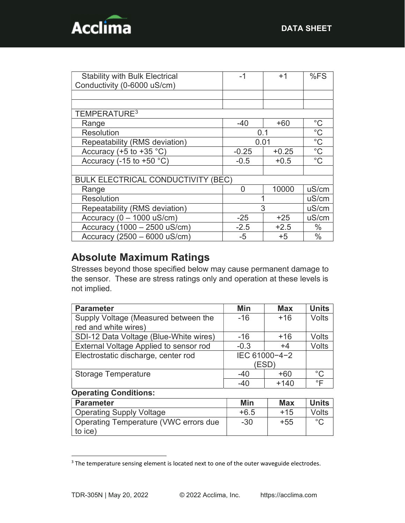

| <b>Stability with Bulk Electrical</b>     | -1      | $+1$    | %FS           |
|-------------------------------------------|---------|---------|---------------|
| Conductivity (0-6000 uS/cm)               |         |         |               |
|                                           |         |         |               |
|                                           |         |         |               |
| TEMPERATURE <sup>3</sup>                  |         |         |               |
| Range                                     | $-40$   | $+60$   | $^{\circ}$ C  |
| <b>Resolution</b>                         | 0.1     |         | $^{\circ}C$   |
| Repeatability (RMS deviation)             | 0.01    |         | $^{\circ}C$   |
| Accuracy (+5 to +35 $^{\circ}$ C)         | $-0.25$ | $+0.25$ | $^{\circ}C$   |
| Accuracy (-15 to +50 $°C$ )               | $-0.5$  | $+0.5$  | $^{\circ}$ C  |
|                                           |         |         |               |
| <b>BULK ELECTRICAL CONDUCTIVITY (BEC)</b> |         |         |               |
| Range                                     | O       | 10000   | uS/cm         |
| <b>Resolution</b>                         |         |         | uS/cm         |
| Repeatability (RMS deviation)             | 3       |         | uS/cm         |
| Accuracy ( $0 - 1000$ uS/cm)              | $-25$   | $+25$   | uS/cm         |
| Accuracy (1000 - 2500 uS/cm)              | $-2.5$  | $+2.5$  | $\frac{0}{0}$ |
| Accuracy $(2500 - 6000 \text{ uS/cm})$    | $-5$    | $+5$    | $\frac{0}{0}$ |

### Absolute Maximum Ratings

Stresses beyond those specified below may cause permanent damage to the sensor. These are stress ratings only and operation at these levels is not implied.

| <b>Parameter</b>                       | Min           | <b>Max</b> | <b>Units</b>       |
|----------------------------------------|---------------|------------|--------------------|
| Supply Voltage (Measured between the   | $-16$         | $+16$      | <b>Volts</b>       |
| red and white wires)                   |               |            |                    |
| SDI-12 Data Voltage (Blue-White wires) | $-16$         | $+16$      | Volts              |
| External Voltage Applied to sensor rod | $-0.3$        | $+4$       | <b>Volts</b>       |
| Electrostatic discharge, center rod    | IEC 61000-4-2 |            |                    |
|                                        |               | (ESD)      |                    |
| <b>Storage Temperature</b>             | $-40$         | $+60$      | $^{\circ}C$        |
|                                        | $-40$         | $+140$     | $\circ \mathsf{F}$ |
| <b>Operating Conditions:</b>           |               |            |                    |
| <b>Parameter</b>                       | Min           | <b>Max</b> | <b>Units</b>       |

| <b>Parameter</b>                                 | Min    | <b>Max</b> | <b>Units</b> |
|--------------------------------------------------|--------|------------|--------------|
| <b>Operating Supply Voltage</b>                  | $+6.5$ | $+15$      | Volts        |
| Operating Temperature (VWC errors due<br>to ice) | $-30$  | $+55$      | $\circ$      |

<sup>&</sup>lt;sup>3</sup> The temperature sensing element is located next to one of the outer waveguide electrodes.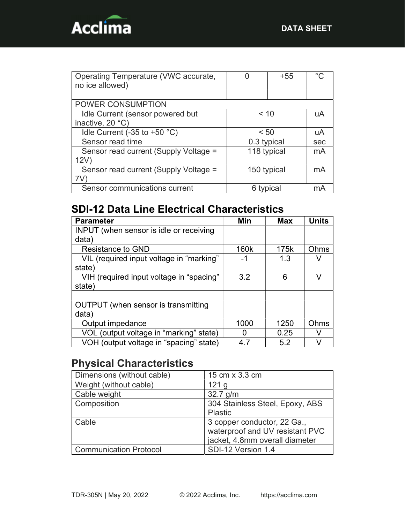

| Operating Temperature (VWC accurate,  |             | +55 | ∘∩  |
|---------------------------------------|-------------|-----|-----|
| no ice allowed)                       |             |     |     |
|                                       |             |     |     |
| POWER CONSUMPTION                     |             |     |     |
| Idle Current (sensor powered but      | < 10        |     | uA  |
| inactive, 20 °C)                      |             |     |     |
| Idle Current (-35 to +50 $°C$ )       | < 50        |     | uA  |
| Sensor read time                      | 0.3 typical |     | sec |
| Sensor read current (Supply Voltage = | 118 typical |     | mA  |
| 12V                                   |             |     |     |
| Sensor read current (Supply Voltage = | 150 typical |     | mA  |
| 7V                                    |             |     |     |
| Sensor communications current         | 6 typical   |     | mА  |

# SDI-12 Data Line Electrical Characteristics

| <b>Parameter</b>                               | Min  | <b>Max</b> | <b>Units</b> |
|------------------------------------------------|------|------------|--------------|
| <b>INPUT</b> (when sensor is idle or receiving |      |            |              |
| data)                                          |      |            |              |
| <b>Resistance to GND</b>                       | 160k | 175k       | Ohms         |
| VIL (required input voltage in "marking"       | -1   | 1.3        |              |
| state)                                         |      |            |              |
| VIH (required input voltage in "spacing"       | 3.2  | 6          | v            |
| state)                                         |      |            |              |
|                                                |      |            |              |
| OUTPUT (when sensor is transmitting            |      |            |              |
| data)                                          |      |            |              |
| Output impedance                               | 1000 | 1250       | Ohms         |
| VOL (output voltage in "marking" state)        | 0    | 0.25       | v            |
| VOH (output voltage in "spacing" state)        | 47   | 5.2        |              |

## Physical Characteristics

| Dimensions (without cable)    | 15 cm x 3.3 cm                                                                                   |
|-------------------------------|--------------------------------------------------------------------------------------------------|
| Weight (without cable)        | 121 <sub>g</sub>                                                                                 |
| Cable weight                  | $32.7$ g/m                                                                                       |
| Composition                   | 304 Stainless Steel, Epoxy, ABS<br><b>Plastic</b>                                                |
| Cable                         | 3 copper conductor, 22 Ga.,<br>waterproof and UV resistant PVC<br>jacket, 4.8mm overall diameter |
| <b>Communication Protocol</b> | SDI-12 Version 1.4                                                                               |